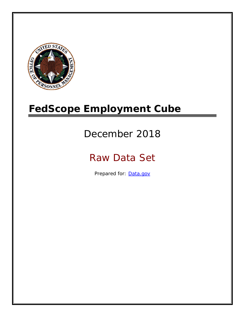

# **FedScope Employment Cube**

# December 2018

# Raw Data Set

Prepared for: [Data.gov](http://www.data.gov/)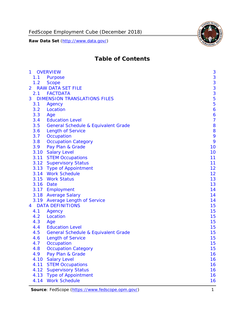

# **Table of Contents**

| 1              | <b>OVERVIEW</b>                                | 3              |
|----------------|------------------------------------------------|----------------|
| 1.1            | Purpose                                        | 3              |
| 1.2            | <b>Scope</b>                                   | 3              |
| $\overline{2}$ | <b>RAW DATA SET FILE</b>                       | 3              |
|                | 2.1 FACTDATA                                   | 3              |
| 3              | <b>DIMENSION TRANSLATIONS FILES</b>            | 5              |
| 3.1            | Agency                                         | 5              |
| 3.2            | Location                                       | 6              |
| 3.3            | Age                                            | 6              |
| 3.4            | <b>Education Level</b>                         | $\overline{7}$ |
| 3.5            | <b>General Schedule &amp; Equivalent Grade</b> | 8              |
| 3.6            | <b>Length of Service</b>                       | 8              |
| 3.7            | Occupation                                     | 9              |
| 3.8            | <b>Occupation Category</b>                     | 9              |
| 3.9            | Pay Plan & Grade                               | 10             |
|                | 3.10 Salary Level                              | 10             |
|                | 3.11 STEM Occupations                          | 11             |
|                | 3.12 Supervisory Status                        | 11             |
|                | 3.13 Type of Appointment                       | 12             |
|                | 3.14 Work Schedule                             | 12             |
| 3.15           | <b>Work Status</b>                             | 13             |
|                | 3.16 Date                                      | 13             |
|                | 3.17 Employment                                | 14             |
|                | 3.18 Average Salary                            | 14             |
|                | 3.19 Average Length of Service                 | 14             |
| $\overline{4}$ | <b>DATA DEFINITIONS</b>                        | 15             |
| 4.1            | Agency                                         | 15             |
| 4.2            | Location                                       | 15             |
| 4.3            | Age                                            | 15             |
| 4.4            | <b>Education Level</b>                         | 15             |
| 4.5            | <b>General Schedule &amp; Equivalent Grade</b> | 15             |
| 4.6            | <b>Length of Service</b>                       | 15             |
| 4.7            | Occupation                                     | 15             |
| 4.8            | <b>Occupation Category</b>                     | 15             |
| 4.9            | Pay Plan & Grade                               | 16             |
| 4.10           | <b>Salary Level</b>                            | 16             |
| 4.11           | <b>STEM Occupations</b>                        | 16             |
| 4.12           | <b>Supervisory Status</b>                      | 16             |
| 4.13           | <b>Type of Appointment</b>                     | 16             |
| 4.14           | <b>Work Schedule</b>                           | 16             |

**Source**: FedScope [\(https://www.fedscope.opm.gov/\)](https://www.fedscope.opm.gov/) 1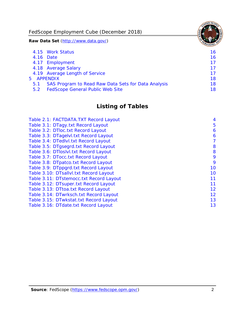FedScope Employment Cube (December 2018)

**Raw Data Set** (http://www.data.gov/)

|               | 4.15 Work Status                                    | 16. |
|---------------|-----------------------------------------------------|-----|
|               | 4.16 Date                                           | 16  |
|               | 4.17 Employment                                     | 17  |
|               | 4.18 Average Salary                                 | 17  |
|               | 4.19 Average Length of Service                      | 17  |
|               | 5 APPENDIX                                          | 18  |
| 5.1           | SAS Program to Read Raw Data Sets for Data Analysis | 18  |
| $5.2^{\circ}$ | <b>FedScope General Public Web Site</b>             | 18  |
|               |                                                     |     |

## **Listing of Tables**

| Table 2.1: FACTDATA. TXT Record Layout  | 4  |
|-----------------------------------------|----|
| Table 3.1: DTagy.txt Record Layout      | 5  |
| Table 3.2: DTloc.txt Record Layout      | 6  |
| Table 3.3: DTagelvl.txt Record Layout   | 6  |
| Table 3.4: DTedlvl.txt Record Layout    | 7  |
| Table 3.5: DTgsegrd.txt Record Layout   | 8  |
| Table 3.6: DTIoslyl.txt Record Layout   | 8  |
| Table 3.7: DTocc.txt Record Layout      | 9  |
| Table 3.8: DTpatco.txt Record Layout    | 9  |
| Table 3.9: DTppgrd.txt Record Layout    | 10 |
| Table 3.10: DTsallvl.txt Record Layout  | 10 |
| Table 3.11: DTstemocc.txt Record Layout | 11 |
| Table 3.12: DTsuper.txt Record Layout   | 11 |
| Table 3.13: DTtoa.txt Record Layout     | 12 |
| Table 3.14: DTwrksch.txt Record Layout  | 12 |
| Table 3.15: DTwkstat.txt Record Layout  | 13 |
| Table 3.16: DTdate.txt Record Layout    | 13 |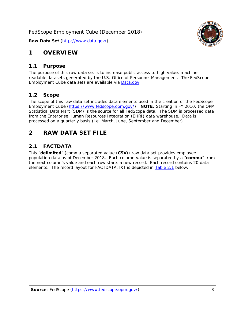

## <span id="page-3-0"></span>**1 OVERVIEW**

#### <span id="page-3-1"></span>*1.1 Purpose*

The purpose of this raw data set is to increase public access to high value, machine readable datasets generated by the U.S. Office of Personnel Management. The FedScope Employment Cube data sets are available via [Data.gov.](http://www.data.gov/)

#### <span id="page-3-2"></span>*1.2 Scope*

The scope of this raw data set includes data elements used in the creation of the FedScope Employment Cube [\(https://www.fedscope.opm.gov/\)](https://www.fedscope.opm.gov/). **NOTE**: Starting in FY 2010, the OPM Statistical Data Mart (SDM) is the source for all FedScope data. The SDM is processed data from the Enterprise Human Resources Integration (EHRI) data warehouse. Data is processed on a quarterly basis (i.e. March, June, September and December).

## <span id="page-3-3"></span>**2 RAW DATA SET FILE**

#### <span id="page-3-4"></span>*2.1 FACTDATA*

This "**delimited**" (comma separated value (**CSV**)) raw data set provides employee population data as of December 2018. Each column value is separated by a "**comma**" from the next column's value and each row starts a new record. Each record contains 20 data elements. The record layout for FACTDATA.TXT is depicted in [Table 2.1](#page-4-0) below: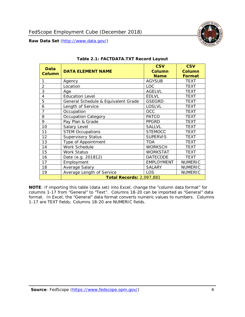

<span id="page-4-0"></span>

| <b>Data</b><br><b>Column</b> | <b>DATA ELEMENT NAME</b>            | <b>CSV</b><br><b>Column</b><br><b>Name</b> | <b>CSV</b><br><b>Column</b><br><b>Format</b> |
|------------------------------|-------------------------------------|--------------------------------------------|----------------------------------------------|
| 1                            | Agency                              | <b>AGYSUB</b>                              | <b>TEXT</b>                                  |
| 2                            | Location                            | <b>LOC</b>                                 | <b>TEXT</b>                                  |
| 3                            | Age                                 | <b>AGELVL</b>                              | TEXT                                         |
| 4                            | <b>Education Level</b>              | <b>EDLVL</b>                               | <b>TEXT</b>                                  |
| 5                            | General Schedule & Equivalent Grade | <b>GSEGRD</b>                              | <b>TEXT</b>                                  |
| 6                            | Length of Service                   | <b>LOSLVL</b>                              | <b>TEXT</b>                                  |
| $\overline{7}$               | Occupation                          | <b>OCC</b>                                 | <b>TEXT</b>                                  |
| 8                            | <b>Occupation Category</b>          | <b>PATCO</b>                               | <b>TEXT</b>                                  |
| 9                            | Pay Plan & Grade                    | <b>PPGRD</b>                               | <b>TEXT</b>                                  |
| 10                           | Salary Level                        | <b>SALLVL</b>                              | <b>TEXT</b>                                  |
| 11                           | <b>STEM Occupations</b>             | <b>STEMOCC</b>                             | <b>TEXT</b>                                  |
| 12                           | <b>Supervisory Status</b>           | <b>SUPERVIS</b>                            | <b>TEXT</b>                                  |
| 13                           | Type of Appointment                 | <b>TOA</b>                                 | <b>TEXT</b>                                  |
| 14                           | Work Schedule                       | <b>WORKSCH</b>                             | <b>TEXT</b>                                  |
| 15                           | <b>Work Status</b>                  | <b>WORKSTAT</b>                            | <b>TEXT</b>                                  |
| 16                           | Date (e.g. 201812)                  | <b>DATECODE</b>                            | <b>TEXT</b>                                  |
| 17                           | Employment                          | <b>EMPLOYMENT</b>                          | <b>NUMERIC</b>                               |
| 18                           | Average Salary                      | <b>SALARY</b>                              | <b>NUMERIC</b>                               |
| 19                           | Average Length of Service           | LOS                                        | <b>NUMERIC</b>                               |
|                              | <b>Total Records: 2,097,881</b>     |                                            |                                              |

#### **Table 2.1: FACTDATA.TXT Record Layout**

**NOTE**: If importing this table (data set) into Excel, change the "column data format" for columns 1-17 from "General" to "Text". Columns 18-20 can be imported as "General" data format. In Excel, the "General" data format converts numeric values to numbers. Columns 1-17 are TEXT fields; Columns 18-20 are NUMERIC fields.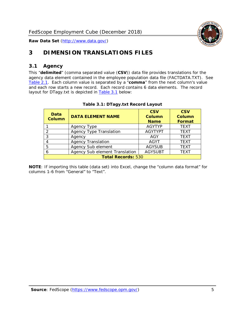

## <span id="page-5-0"></span>**3 DIMENSION TRANSLATIONS FILES**

#### <span id="page-5-1"></span>*3.1 Agency*

This "**delimited**" (comma separated value (**CSV**)) data file provides translations for the agency data element contained in the employee population data file (FACTDATA.TXT). See [Table 2.1.](#page-4-0) Each column value is separated by a "**comma**" from the next column's value and each row starts a new record. Each record contains 6 data elements. The record layout for DTagy.txt is depicted in **[Table 3.1](#page-5-2)** below:

<span id="page-5-2"></span>

| Data<br>Column            | <b>DATA ELEMENT NAME</b>       | <b>CSV</b><br>Column<br><b>Name</b> | <b>CSV</b><br><b>Column</b><br><b>Format</b> |
|---------------------------|--------------------------------|-------------------------------------|----------------------------------------------|
|                           | Agency Type                    | <b>AGYTYP</b>                       | <b>TEXT</b>                                  |
|                           | <b>Agency Type Translation</b> | <b>AGYTYPT</b>                      | <b>TEXT</b>                                  |
| 3                         | Agency                         | AGY                                 | <b>TEXT</b>                                  |
|                           | <b>Agency Translation</b>      | <b>AGYT</b>                         | <b>TEXT</b>                                  |
| 5                         | Agency Sub element             | <b>AGYSUB</b>                       | <b>TEXT</b>                                  |
| 6                         | Agency Sub element Translation | <b>AGYSUBT</b>                      | <b>TEXT</b>                                  |
| <b>Total Records: 530</b> |                                |                                     |                                              |

#### **Table 3.1: DTagy.txt Record Layout**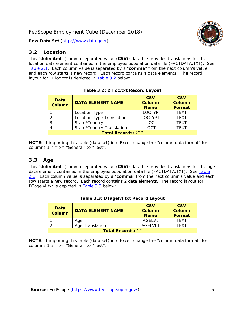

#### <span id="page-6-0"></span>*3.2 Location*

This "**delimited**" (comma separated value (**CSV**)) data file provides translations for the location data element contained in the employee population data file (FACTDATA.TXT). See [Table 2.1.](#page-4-0) Each column value is separated by a "**comma**" from the next column's value and each row starts a new record. Each record contains 4 data elements. The record layout for DTloc.txt is depicted in [Table 3.2](#page-6-2) below:

<span id="page-6-2"></span>

| Data<br><b>Column</b>     | <b>DATA ELEMENT NAME</b>         | <b>CSV</b><br><b>Column</b><br><b>Name</b> | <b>CSV</b><br><b>Column</b><br><b>Format</b> |
|---------------------------|----------------------------------|--------------------------------------------|----------------------------------------------|
|                           | Location Type                    | <b>LOCTYP</b>                              | <b>TFXT</b>                                  |
|                           | Location Type Translation        | <b>LOCTYPT</b>                             | <b>TEXT</b>                                  |
|                           | State/Country                    | <b>LOC</b>                                 | <b>TFXT</b>                                  |
|                           | <b>State/Country Translation</b> | <b>LOCT</b>                                | <b>TFXT</b>                                  |
| <b>Total Records: 227</b> |                                  |                                            |                                              |

**Table 3.2: DTloc.txt Record Layout**

**NOTE**: If importing this table (data set) into Excel, change the "column data format" for columns 1-4 from "General" to "Text".

#### <span id="page-6-1"></span>*3.3 Age*

This "**delimited**" (comma separated value (**CSV**)) data file provides translations for the age data element contained in the employee population data file (FACTDATA.TXT). See Table [2.1.](#page-4-0) Each column value is separated by a "**comma**" from the next column's value and each row starts a new record. Each record contains 2 data elements. The record layout for DTagelvl.txt is depicted in [Table 3.3](#page-6-3) below:

<span id="page-6-3"></span>

| <b>Data</b><br>Column    | <b>DATA ELEMENT NAME</b> | <b>CSV</b><br>Column<br><b>Name</b> | <b>CSV</b><br>Column<br>Format |
|--------------------------|--------------------------|-------------------------------------|--------------------------------|
|                          | Aae                      | AGELVL                              | TFXT                           |
|                          | Age Translation          | AGFI VI T                           | TF XT                          |
| <b>Total Records: 12</b> |                          |                                     |                                |

| Table 3.3: DTagelvl.txt Record Layout |  |
|---------------------------------------|--|
|---------------------------------------|--|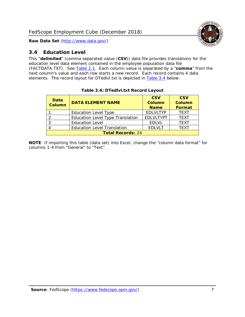

### <span id="page-7-0"></span>*3.4 Education Level*

This "**delimited**" (comma separated value (**CSV**)) data file provides translations for the education level data element contained in the employee population data file (FACTDATA.TXT). See [Table 2.1.](#page-4-0) Each column value is separated by a "**comma**" from the next column's value and each row starts a new record. Each record contains 4 data elements. The record layout for DTedlvl.txt is depicted in [Table 3.4](#page-7-1) below:

<span id="page-7-1"></span>

| Data<br><b>Column</b>    | <b>DATA ELEMENT NAME</b>           | <b>CSV</b><br><b>Column</b><br><b>Name</b> | <b>CSV</b><br><b>Column</b><br><b>Format</b> |  |
|--------------------------|------------------------------------|--------------------------------------------|----------------------------------------------|--|
|                          | <b>Education Level Type</b>        | <b>EDLVLTYP</b>                            | <b>TEXT</b>                                  |  |
| っ                        | Education Level Type Translation   | <b>EDLVLTYPT</b>                           | <b>TEXT</b>                                  |  |
| 3                        | <b>Education Level</b>             | <b>EDLVL</b>                               | <b>TEXT</b>                                  |  |
|                          | <b>Education Level Translation</b> | <b>EDLVLT</b>                              | <b>TEXT</b>                                  |  |
| <b>Total Records: 24</b> |                                    |                                            |                                              |  |

#### **Table 3.4: DTedlvl.txt Record Layout**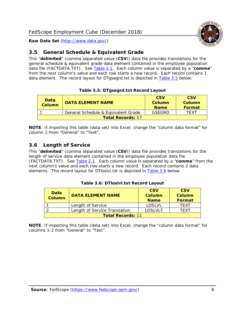

### <span id="page-8-0"></span>*3.5 General Schedule & Equivalent Grade*

This "**delimited**" (comma separated value (**CSV**)) data file provides translations for the general schedule & equivalent grade data element contained in the employee population data file (FACTDATA.TXT). See [Table 2.1.](#page-4-0) Each column value is separated by a "**comma**" from the next column's value and each row starts a new record. Each record contains 1 data element. The record layout for DTgsegrd.txt is depicted in [Table 3.5](#page-8-2) below:

#### **Table 3.5: DTgsegrd.txt Record Layout**

<span id="page-8-2"></span>

| Data<br>Column           | DATA FI FMFNT NAMF                  | <b>CSV</b><br>Column<br><b>Name</b> | <b>CSV</b><br>Column<br>Format |  |
|--------------------------|-------------------------------------|-------------------------------------|--------------------------------|--|
|                          | General Schedule & Equivalent Grade | GSFGRD                              | TFXT                           |  |
| <b>Total Records: 17</b> |                                     |                                     |                                |  |

**NOTE**: If importing this table (data set) into Excel, change the "column data format" for column 1-from "General" to "Text".

## <span id="page-8-1"></span>*3.6 Length of Service*

This "**delimited**" (comma separated value (**CSV**)) data file provides translations for the length of service data element contained in the employee population data file (FACTDATA.TXT). See [Table 2.1.](#page-4-0) Each column value is separated by a "**comma**" from the next column's value and each row starts a new record. Each record contains 2 data elements. The record layout for DTloslvl.txt is depicted in [Table 3.6](#page-8-3) below:

#### **Table 3.6: DTloslvl.txt Record Layout**

<span id="page-8-3"></span>

| Data<br><b>Column</b>    | <b>DATA ELEMENT NAME</b>      | <b>CSV</b><br>Column<br><b>Name</b> | <b>CSV</b><br>Column<br>Format |  |
|--------------------------|-------------------------------|-------------------------------------|--------------------------------|--|
|                          | Length of Service             | LOSLVL                              | <b>TFXT</b>                    |  |
|                          | Length of Service Translation | <b>LOSLVLT</b>                      | TFXT                           |  |
| <b>Total Records: 11</b> |                               |                                     |                                |  |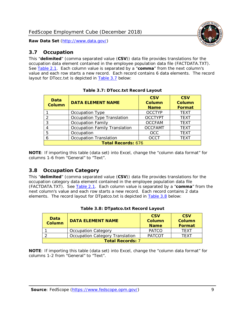

#### <span id="page-9-0"></span>*3.7 Occupation*

This "**delimited**" (comma separated value (**CSV**)) data file provides translations for the occupation data element contained in the employee population data file (FACTDATA.TXT). See [Table 2.1.](#page-4-0) Each column value is separated by a "**comma**" from the next column's value and each row starts a new record. Each record contains 6 data elements. The record layout for DTocc.txt is depicted in [Table 3.7](#page-9-2) below:

<span id="page-9-2"></span>

| Data<br><b>Column</b>     | <b>DATA ELEMENT NAME</b>             | <b>CSV</b><br><b>Column</b><br><b>Name</b> | <b>CSV</b><br><b>Column</b><br><b>Format</b> |  |
|---------------------------|--------------------------------------|--------------------------------------------|----------------------------------------------|--|
|                           | Occupation Type                      | <b>OCCTYP</b>                              | <b>TEXT</b>                                  |  |
| $\overline{2}$            | Occupation Type Translation          | <b>OCCTYPT</b>                             | <b>TEXT</b>                                  |  |
| 3                         | <b>Occupation Family</b>             | <b>OCCFAM</b>                              | <b>TEXT</b>                                  |  |
| $\overline{4}$            | <b>Occupation Family Translation</b> | <b>OCCFAMT</b>                             | <b>TEXT</b>                                  |  |
| 5                         | Occupation                           | <b>OCC</b>                                 | <b>TEXT</b>                                  |  |
| 6                         | <b>Occupation Translation</b>        | <b>OCCT</b>                                | <b>TEXT</b>                                  |  |
| <b>Total Records: 676</b> |                                      |                                            |                                              |  |

**Table 3.7: DTocc.txt Record Layout**

**NOTE**: If importing this table (data set) into Excel, change the "column data format" for columns 1-6 from "General" to "Text".

#### <span id="page-9-1"></span>*3.8 Occupation Category*

This "**delimited**" (comma separated value (**CSV**)) data file provides translations for the occupation category data element contained in the employee population data file (FACTDATA.TXT). See [Table 2.1.](#page-4-0) Each column value is separated by a "**comma**" from the next column's value and each row starts a new record. Each record contains 2 data elements. The record layout for DTpatco.txt is depicted in [Table 3.8](#page-9-3) below:

<span id="page-9-3"></span>

| Data<br><b>Column</b>   | <b>DATA ELEMENT NAME</b>        | <b>CSV</b><br>Column<br><b>Name</b> | <b>CSV</b><br>Column<br>Format |
|-------------------------|---------------------------------|-------------------------------------|--------------------------------|
|                         | <b>Occupation Category</b>      | <b>PATCO</b>                        | <b>TFXT</b>                    |
|                         | Occupation Category Translation | <b>PATCOT</b>                       | TFXT                           |
| <b>Total Records: 7</b> |                                 |                                     |                                |

|  | Table 3.8: DTpatco.txt Record Layout |  |  |
|--|--------------------------------------|--|--|
|  |                                      |  |  |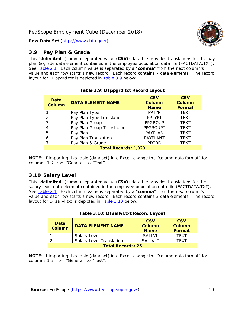

#### <span id="page-10-0"></span>*3.9 Pay Plan & Grade*

This "**delimited**" (comma separated value (**CSV**)) data file provides translations for the pay plan & grade data element contained in the employee population data file (FACTDATA.TXT). See [Table 2.1.](#page-4-0) Each column value is separated by a "**comma**" from the next column's value and each row starts a new record. Each record contains 7 data elements. The record layout for DTppgrd.txt is depicted in [Table 3.9](#page-10-2) below:

<span id="page-10-2"></span>

| Data<br><b>Column</b> | <b>DATA ELEMENT NAME</b>    | <b>CSV</b><br><b>Column</b><br><b>Name</b> | <b>CSV</b><br><b>Column</b><br>Format |
|-----------------------|-----------------------------|--------------------------------------------|---------------------------------------|
|                       | Pay Plan Type               | <b>PPTYP</b>                               | <b>TEXT</b>                           |
| 2                     | Pay Plan Type Translation   | <b>PPTYPT</b>                              | <b>TEXT</b>                           |
| 3                     | Pay Plan Group              | <b>PPGROUP</b>                             | <b>TEXT</b>                           |
| 4                     | Pay Plan Group Translation  | <b>PPGROUPT</b>                            | <b>TEXT</b>                           |
| 5                     | Pay Plan                    | PAYPLAN                                    | <b>TEXT</b>                           |
| 6                     | Pay Plan Translation        | PAYPLANT                                   | <b>TEXT</b>                           |
| 7                     | Pay Plan & Grade            | <b>PPGRD</b>                               | <b>TEXT</b>                           |
|                       | <b>Total Records: 1,020</b> |                                            |                                       |

**Table 3.9: DTppgrd.txt Record Layout**

**NOTE**: If importing this table (data set) into Excel, change the "column data format" for columns 1-7 from "General" to "Text".

#### <span id="page-10-1"></span>*3.10 Salary Level*

This "**delimited**" (comma separated value (**CSV**)) data file provides translations for the salary level data element contained in the employee population data file (FACTDATA.TXT). See [Table 2.1.](#page-4-0) Each column value is separated by a "**comma**" from the next column's value and each row starts a new record. Each record contains 2 data elements. The record layout for DTsallvl.txt is depicted in **Table 3.10** below:

<span id="page-10-3"></span>

| <b>Data</b><br><b>Column</b> | <b>DATA ELEMENT NAME</b>        | <b>CSV</b><br><b>Column</b><br><b>Name</b> | <b>CSV</b><br>Column<br>Format |
|------------------------------|---------------------------------|--------------------------------------------|--------------------------------|
|                              | Salary Level                    | <b>SAITVI</b>                              | <b>TFXT</b>                    |
|                              | <b>Salary Level Translation</b> | <b>SAILVLT</b>                             | TFXT                           |
| <b>Total Records: 26</b>     |                                 |                                            |                                |

| Table 3.10: DTsallvl.txt Record Layout |  |  |
|----------------------------------------|--|--|
|----------------------------------------|--|--|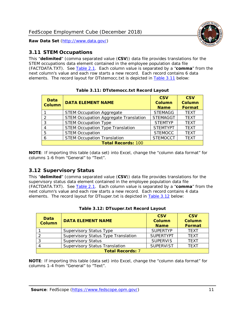

#### <span id="page-11-0"></span>*3.11 STEM Occupations*

This "**delimited**" (comma separated value (**CSV**)) data file provides translations for the STEM occupations data element contained in the employee population data file (FACTDATA.TXT). See [Table 2.1.](#page-4-0) Each column value is separated by a "**comma**" from the next column's value and each row starts a new record. Each record contains 6 data elements. The record layout for DTstemocc.txt is depicted in [Table 3.11](#page-11-2) below:

<span id="page-11-2"></span>

| Data<br>Column | <b>DATA ELEMENT NAME</b>                     | <b>CSV</b><br><b>Column</b><br><b>Name</b> | <b>CSV</b><br><b>Column</b><br><b>Format</b> |
|----------------|----------------------------------------------|--------------------------------------------|----------------------------------------------|
|                | <b>STEM Occupation Aggregate</b>             | <b>STEMAGG</b>                             | <b>TEXT</b>                                  |
| $\mathcal{D}$  | <b>STEM Occupation Aggregate Translation</b> | <b>STEMAGGT</b>                            | <b>TEXT</b>                                  |
| 3              | <b>STEM Occupation Type</b>                  | <b>STEMTYP</b>                             | <b>TEXT</b>                                  |
| 4              | <b>STEM Occupation Type Translation</b>      | <b>STEMTYPT</b>                            | <b>TEXT</b>                                  |
| 5              | <b>STEM Occupation</b>                       | <b>STEMOCC</b>                             | <b>TEXT</b>                                  |
| 6              | <b>STEM Occupation Translation</b>           | <b>STEMOCCT</b>                            | <b>TEXT</b>                                  |
|                | <b>Total Records: 100</b>                    |                                            |                                              |

**Table 3.11: DTstemocc.txt Record Layout**

**NOTE**: If importing this table (data set) into Excel, change the "column data format" for columns 1-6 from "General" to "Text".

## <span id="page-11-1"></span>*3.12 Supervisory Status*

This "**delimited**" (comma separated value (**CSV**)) data file provides translations for the supervisory status data element contained in the employee population data file (FACTDATA.TXT). See [Table 2.1.](#page-4-0) Each column value is separated by a "**comma**" from the next column's value and each row starts a new record. Each record contains 4 data elements. The record layout for DTsuper.txt is depicted in [Table 3.12](#page-11-3) below:

<span id="page-11-3"></span>

| Data<br><b>Column</b>   | <b>DATA ELEMENT NAME</b>              | <b>CSV</b><br><b>Column</b><br><b>Name</b> | <b>CSV</b><br><b>Column</b><br>Format |  |
|-------------------------|---------------------------------------|--------------------------------------------|---------------------------------------|--|
|                         | <b>Supervisory Status Type</b>        | <b>SUPERTYP</b>                            | <b>TEXT</b>                           |  |
|                         | Supervisory Status Type Translation   | <b>SUPERTYPT</b>                           | <b>TEXT</b>                           |  |
|                         | <b>Supervisory Status</b>             | <b>SUPERVIS</b>                            | <b>TEXT</b>                           |  |
|                         | <b>Supervisory Status Translation</b> | <b>SUPERVIST</b>                           | <b>TEXT</b>                           |  |
| <b>Total Records: 7</b> |                                       |                                            |                                       |  |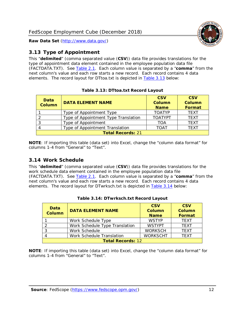

## <span id="page-12-0"></span>*3.13 Type of Appointment*

This "**delimited**" (comma separated value (**CSV**)) data file provides translations for the type of appointment data element contained in the employee population data file (FACTDATA.TXT). See [Table 2.1.](#page-4-0) Each column value is separated by a "**comma**" from the next column's value and each row starts a new record. Each record contains 4 data elements. The record layout for DTtoa.txt is depicted in [Table 3.13](#page-12-2) below:

<span id="page-12-2"></span>

| Data<br><b>Column</b>    | <b>DATA ELEMENT NAME</b>             | <b>CSV</b><br>Column<br><b>Name</b> | <b>CSV</b><br>Column<br>Format |  |
|--------------------------|--------------------------------------|-------------------------------------|--------------------------------|--|
|                          | Type of Appointment Type             | <b>TOATYP</b>                       | <b>TEXT</b>                    |  |
|                          | Type of Appointment Type Translation | <b>TOATYPT</b>                      | <b>TEXT</b>                    |  |
|                          | Type of Appointment                  | TOA                                 | <b>TEXT</b>                    |  |
|                          | Type of Appointment Translation      | <b>TOAT</b>                         | <b>TFXT</b>                    |  |
| <b>Total Records: 21</b> |                                      |                                     |                                |  |

|  | Table 3.13: DTtoa.txt Record Layout |  |
|--|-------------------------------------|--|
|  |                                     |  |

**NOTE**: If importing this table (data set) into Excel, change the "column data format" for columns 1-4 from "General" to "Text".

#### <span id="page-12-1"></span>*3.14 Work Schedule*

This "**delimited**" (comma separated value (**CSV**)) data file provides translations for the work schedule data element contained in the employee population data file (FACTDATA.TXT). See [Table 2.1.](#page-4-0) Each column value is separated by a "**comma**" from the next column's value and each row starts a new record. Each record contains 4 data elements. The record layout for DTwrksch.txt is depicted in [Table 3.14](#page-12-3) below:

<span id="page-12-3"></span>

| Data<br><b>Column</b>    | <b>DATA ELEMENT NAME</b>       | <b>CSV</b><br><b>Column</b><br><b>Name</b> | <b>CSV</b><br><b>Column</b><br><b>Format</b> |
|--------------------------|--------------------------------|--------------------------------------------|----------------------------------------------|
|                          | Work Schedule Type             | <b>WSTYP</b>                               | <b>TFXT</b>                                  |
|                          | Work Schedule Type Translation | <b>WSTYPT</b>                              | <b>TEXT</b>                                  |
| -3                       | Work Schedule                  | <b>WORKSCH</b>                             | <b>TFXT</b>                                  |
|                          | Work Schedule Translation      | <b>WORKSCHT</b>                            | <b>TFXT</b>                                  |
| <b>Total Records: 12</b> |                                |                                            |                                              |

**Table 3.14: DTwrksch.txt Record Layout**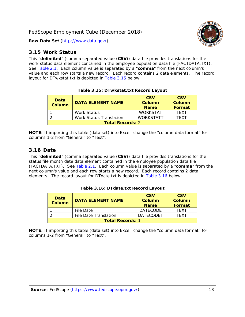

#### <span id="page-13-0"></span>*3.15 Work Status*

This "**delimited**" (comma separated value (**CSV**)) data file provides translations for the work status data element contained in the employee population data file (FACTDATA.TXT). See [Table 2.1.](#page-4-0) Each column value is separated by a "**comma**" from the next column's value and each row starts a new record. Each record contains 2 data elements. The record layout for DTwkstat.txt is depicted in [Table 3.15](#page-13-2) below:

<span id="page-13-2"></span>

| <b>Data</b><br><b>Column</b> | <b>DATA ELEMENT NAME</b> | <b>CSV</b><br><b>Column</b><br><b>Name</b> | <b>CSV</b><br><b>Column</b><br>Format |
|------------------------------|--------------------------|--------------------------------------------|---------------------------------------|
|                              | <b>Work Status</b>       | <b>WORKSTAT</b>                            | <b>TFXT</b>                           |
|                              | Work Status Translation  | <b>WORKSTATT</b>                           | <b>TFXT</b>                           |
| <b>Total Records: 2</b>      |                          |                                            |                                       |

|  | Table 3.15: DTwkstat.txt Record Layout |  |
|--|----------------------------------------|--|
|  |                                        |  |

**NOTE**: If importing this table (data set) into Excel, change the "column data format" for columns 1-2 from "General" to "Text".

#### <span id="page-13-1"></span>*3.16 Date*

This "**delimited**" (comma separated value (**CSV**)) data file provides translations for the status file month date data element contained in the employee population data file (FACTDATA.TXT). See [Table 2.1.](#page-4-0) Each column value is separated by a "**comma**" from the next column's value and each row starts a new record. Each record contains 2 data elements. The record layout for DTdate.txt is depicted in [Table 3.16](#page-13-3) below:

<span id="page-13-3"></span>

| Data<br><b>Column</b>   | <b>DATA ELEMENT NAME</b>     | <b>CSV</b><br>Column<br><b>Name</b> | <b>CSV</b><br>Column<br>Format |  |  |
|-------------------------|------------------------------|-------------------------------------|--------------------------------|--|--|
|                         | File Date                    | <b>DATECODE</b>                     | <b>TFXT</b>                    |  |  |
|                         | <b>File Date Translation</b> | <b>DATECODET</b>                    | TFXT                           |  |  |
| <b>Total Records: 1</b> |                              |                                     |                                |  |  |

**Table 3.16: DTdate.txt Record Layout**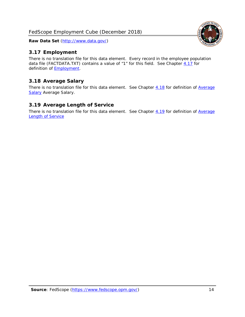FedScope Employment Cube (December 2018)

**Raw Data Set** (http://www.data.gov/)

## <span id="page-14-0"></span>*3.17 Employment*

There is no translation file for this data element. Every record in the employee population data file (FACTDATA.TXT) contains a value of "1" for this field. See Chapter [4.17](#page-16-8) for definition of **Employment**.

## <span id="page-14-1"></span>*3.18 Average Salary*

There is no translation file for this data element. See Chapter [4.18](#page-17-1) for definition of Average [Salary](#page-17-1) [Average Salary.](#page-17-1)

#### <span id="page-14-2"></span>*3.19 Average Length of Service*

There is no translation file for this data element. See Chapter [4.19](#page-17-2) for definition of Average [Length of Service](#page-17-2)

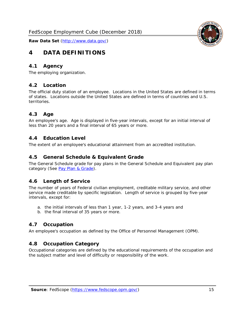<span id="page-15-0"></span>

#### <span id="page-15-1"></span>*4.1 Agency*

<span id="page-15-2"></span>The employing organization.

#### *4.2 Location*

The official duty station of an employee. Locations in the United States are defined in terms of states. Locations outside the United States are defined in terms of countries and U.S. territories.

#### <span id="page-15-3"></span>*4.3 Age*

An employee's age. Age is displayed in five-year intervals, except for an initial interval of less than 20 years and a final interval of 65 years or more.

#### <span id="page-15-4"></span>*4.4 Education Level*

<span id="page-15-5"></span>The extent of an employee's educational attainment from an accredited institution.

#### *4.5 General Schedule & Equivalent Grade*

The General Schedule grade for pay plans in the General Schedule and Equivalent pay plan category (See [Pay Plan & Grade\)](#page-16-0).

#### <span id="page-15-6"></span>*4.6 Length of Service*

The number of years of Federal civilian employment, creditable military service, and other service made creditable by specific legislation. Length of service is grouped by five-year intervals, except for:

- a. the initial intervals of less than 1 year, 1-2 years, and 3-4 years and
- b. the final interval of 35 years or more.

#### <span id="page-15-7"></span>*4.7 Occupation*

<span id="page-15-8"></span>An employee's occupation as defined by the Office of Personnel Management (OPM).

#### *4.8 Occupation Category*

Occupational categories are defined by the educational requirements of the occupation and the subject matter and level of difficulty or responsibility of the work.

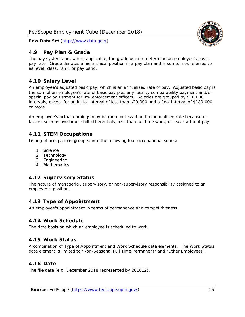## <span id="page-16-0"></span>*4.9 Pay Plan & Grade*

The pay system and, where applicable, the grade used to determine an employee's basic pay rate. Grade denotes a hierarchical position in a pay plan and is sometimes referred to as level, class, rank, or pay band.

## <span id="page-16-1"></span>*4.10 Salary Level*

An employee's adjusted basic pay, which is an annualized rate of pay. Adjusted basic pay is the sum of an employee's rate of basic pay plus any locality comparability payment and/or special pay adjustment for law enforcement officers. Salaries are grouped by \$10,000 intervals, except for an initial interval of less than \$20,000 and a final interval of \$180,000 or more.

An employee's actual earnings may be more or less than the annualized rate because of factors such as overtime, shift differentials, less than full time work, or leave without pay.

## <span id="page-16-2"></span>*4.11 STEM Occupations*

Listing of occupations grouped into the following four occupational series:

- 1. **S**cience
- 2. **T**echnology
- 3. **E**ngineering
- 4. **M**athematics

## <span id="page-16-3"></span>*4.12 Supervisory Status*

The nature of managerial, supervisory, or non-supervisory responsibility assigned to an employee's position.

#### <span id="page-16-4"></span>*4.13 Type of Appointment*

<span id="page-16-5"></span>An employee's appointment in terms of permanence and competitiveness.

#### *4.14 Work Schedule*

<span id="page-16-6"></span>The time basis on which an employee is scheduled to work.

#### *4.15 Work Status*

A combination of Type of Appointment and Work Schedule data elements. The Work Status data element is limited to "Non-Seasonal Full Time Permanent" and "Other Employees".

#### <span id="page-16-7"></span>*4.16 Date*

<span id="page-16-8"></span>The file date (e.g. December 2018 represented by 201812).

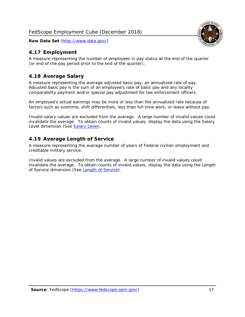## <span id="page-17-0"></span>*4.17 Employment*

A measure representing the number of employees in pay status at the end of the quarter (or end of the pay period prior to the end of the quarter).

## <span id="page-17-1"></span>*4.18 Average Salary*

A measure representing the average adjusted basic pay, an annualized rate of pay. Adjusted basic pay is the sum of an employee's rate of basic pay and any locality comparability payment and/or special pay adjustment for law enforcement officers.

An employee's actual earnings may be more or less than the annualized rate because of factors such as overtime, shift differentials, less than full time work, or leave without pay.

Invalid salary values are excluded from the average. A large number of invalid values could invalidate the average. To obtain counts of invalid values, display the data using the Salary Level dimension (See [Salary Level\)](#page-16-1).

## <span id="page-17-2"></span>*4.19 Average Length of Service*

A measure representing the average number of years of Federal civilian employment and creditable military service.

Invalid values are excluded from the average. A large number of invalid values could invalidate the average. To obtain counts of invalid values, display the data using the Length of Service dimension (See [Length of Service\)](#page-15-6).